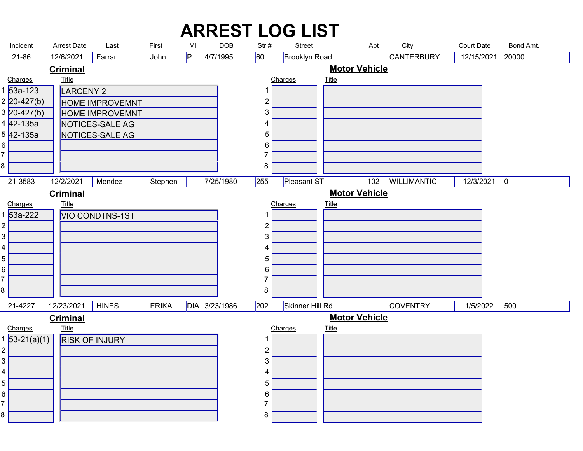| <b>ARREST LOG LIST</b><br><b>Arrest Date</b><br>City<br><b>Court Date</b><br>Incident<br>MI<br><b>DOB</b><br>Str#<br>First<br>Street<br>Apt<br>Last<br>4/7/1995<br>60<br><b>CANTERBURY</b><br>20000<br>IP.<br><b>Brooklyn Road</b><br>21-86<br>12/6/2021<br>Farrar<br>John<br>12/15/2021<br><b>Motor Vehicle</b><br><b>Criminal</b><br><b>Title</b><br><b>Title</b><br>Charges<br>Charges<br>53a-123<br>LARCENY 2<br>$\mathbf 1$<br>$2 20-427(b) $<br>$\overline{2}$<br><b>HOME IMPROVEMNT</b><br>$3 20-427(b) $<br>3<br><b>HOME IMPROVEMNT</b><br>4 42-135a<br>NOTICES-SALE AG<br>4<br>5 42-135a<br>NOTICES-SALE AG<br>$\overline{5}$<br>6<br>6  <br>$\overline{7}$<br>8<br>8<br>102 WILLIMANTIC 12/3/2021 0<br>$255$ Pleasant ST<br>$21 - 3583$<br>12/2/2021   Mendez<br>7/25/1980<br>Stephen<br><b>Motor Vehicle</b><br><b>Criminal</b><br>Charges<br><b>Title</b><br>Charges<br>Title<br>1 53a-222<br><b>VIO CONDTNS-1ST</b><br>-1<br>2 <br>$\overline{2}$<br>3 <br>3<br>4  <br>4<br>5 <br>5<br>6 <br>6<br>$\overline{7}$<br>8<br>8 | DIA 3/23/1986<br>$ 202\rangle$<br>1/5/2022 500<br>Skinner Hill Rd<br>COVENTRY<br>21-4227<br>12/23/2021<br><b>HINES</b><br><b>ERIKA</b><br><b>Motor Vehicle</b><br><b>Criminal</b><br>$Title$<br><u>Charges</u><br>1 <mark>53-21(a)(1)</mark><br>Charges<br><b>Title</b><br><b>RISK OF INJURY</b><br>-1<br>$\overline{2}$<br>3<br>4<br>5<br>6<br>7<br>8 |  |  |  |  |  |  |
|-----------------------------------------------------------------------------------------------------------------------------------------------------------------------------------------------------------------------------------------------------------------------------------------------------------------------------------------------------------------------------------------------------------------------------------------------------------------------------------------------------------------------------------------------------------------------------------------------------------------------------------------------------------------------------------------------------------------------------------------------------------------------------------------------------------------------------------------------------------------------------------------------------------------------------------------------------------------------------------------------------------------------------------------|--------------------------------------------------------------------------------------------------------------------------------------------------------------------------------------------------------------------------------------------------------------------------------------------------------------------------------------------------------|--|--|--|--|--|--|
|                                                                                                                                                                                                                                                                                                                                                                                                                                                                                                                                                                                                                                                                                                                                                                                                                                                                                                                                                                                                                                         | Bond Amt.                                                                                                                                                                                                                                                                                                                                              |  |  |  |  |  |  |
|                                                                                                                                                                                                                                                                                                                                                                                                                                                                                                                                                                                                                                                                                                                                                                                                                                                                                                                                                                                                                                         |                                                                                                                                                                                                                                                                                                                                                        |  |  |  |  |  |  |
|                                                                                                                                                                                                                                                                                                                                                                                                                                                                                                                                                                                                                                                                                                                                                                                                                                                                                                                                                                                                                                         |                                                                                                                                                                                                                                                                                                                                                        |  |  |  |  |  |  |
|                                                                                                                                                                                                                                                                                                                                                                                                                                                                                                                                                                                                                                                                                                                                                                                                                                                                                                                                                                                                                                         |                                                                                                                                                                                                                                                                                                                                                        |  |  |  |  |  |  |
|                                                                                                                                                                                                                                                                                                                                                                                                                                                                                                                                                                                                                                                                                                                                                                                                                                                                                                                                                                                                                                         |                                                                                                                                                                                                                                                                                                                                                        |  |  |  |  |  |  |
|                                                                                                                                                                                                                                                                                                                                                                                                                                                                                                                                                                                                                                                                                                                                                                                                                                                                                                                                                                                                                                         |                                                                                                                                                                                                                                                                                                                                                        |  |  |  |  |  |  |
|                                                                                                                                                                                                                                                                                                                                                                                                                                                                                                                                                                                                                                                                                                                                                                                                                                                                                                                                                                                                                                         |                                                                                                                                                                                                                                                                                                                                                        |  |  |  |  |  |  |
|                                                                                                                                                                                                                                                                                                                                                                                                                                                                                                                                                                                                                                                                                                                                                                                                                                                                                                                                                                                                                                         |                                                                                                                                                                                                                                                                                                                                                        |  |  |  |  |  |  |
|                                                                                                                                                                                                                                                                                                                                                                                                                                                                                                                                                                                                                                                                                                                                                                                                                                                                                                                                                                                                                                         |                                                                                                                                                                                                                                                                                                                                                        |  |  |  |  |  |  |
|                                                                                                                                                                                                                                                                                                                                                                                                                                                                                                                                                                                                                                                                                                                                                                                                                                                                                                                                                                                                                                         |                                                                                                                                                                                                                                                                                                                                                        |  |  |  |  |  |  |
|                                                                                                                                                                                                                                                                                                                                                                                                                                                                                                                                                                                                                                                                                                                                                                                                                                                                                                                                                                                                                                         |                                                                                                                                                                                                                                                                                                                                                        |  |  |  |  |  |  |
|                                                                                                                                                                                                                                                                                                                                                                                                                                                                                                                                                                                                                                                                                                                                                                                                                                                                                                                                                                                                                                         |                                                                                                                                                                                                                                                                                                                                                        |  |  |  |  |  |  |
|                                                                                                                                                                                                                                                                                                                                                                                                                                                                                                                                                                                                                                                                                                                                                                                                                                                                                                                                                                                                                                         |                                                                                                                                                                                                                                                                                                                                                        |  |  |  |  |  |  |
|                                                                                                                                                                                                                                                                                                                                                                                                                                                                                                                                                                                                                                                                                                                                                                                                                                                                                                                                                                                                                                         |                                                                                                                                                                                                                                                                                                                                                        |  |  |  |  |  |  |
|                                                                                                                                                                                                                                                                                                                                                                                                                                                                                                                                                                                                                                                                                                                                                                                                                                                                                                                                                                                                                                         |                                                                                                                                                                                                                                                                                                                                                        |  |  |  |  |  |  |
|                                                                                                                                                                                                                                                                                                                                                                                                                                                                                                                                                                                                                                                                                                                                                                                                                                                                                                                                                                                                                                         |                                                                                                                                                                                                                                                                                                                                                        |  |  |  |  |  |  |
|                                                                                                                                                                                                                                                                                                                                                                                                                                                                                                                                                                                                                                                                                                                                                                                                                                                                                                                                                                                                                                         |                                                                                                                                                                                                                                                                                                                                                        |  |  |  |  |  |  |
|                                                                                                                                                                                                                                                                                                                                                                                                                                                                                                                                                                                                                                                                                                                                                                                                                                                                                                                                                                                                                                         |                                                                                                                                                                                                                                                                                                                                                        |  |  |  |  |  |  |
|                                                                                                                                                                                                                                                                                                                                                                                                                                                                                                                                                                                                                                                                                                                                                                                                                                                                                                                                                                                                                                         |                                                                                                                                                                                                                                                                                                                                                        |  |  |  |  |  |  |
|                                                                                                                                                                                                                                                                                                                                                                                                                                                                                                                                                                                                                                                                                                                                                                                                                                                                                                                                                                                                                                         |                                                                                                                                                                                                                                                                                                                                                        |  |  |  |  |  |  |
|                                                                                                                                                                                                                                                                                                                                                                                                                                                                                                                                                                                                                                                                                                                                                                                                                                                                                                                                                                                                                                         |                                                                                                                                                                                                                                                                                                                                                        |  |  |  |  |  |  |
|                                                                                                                                                                                                                                                                                                                                                                                                                                                                                                                                                                                                                                                                                                                                                                                                                                                                                                                                                                                                                                         |                                                                                                                                                                                                                                                                                                                                                        |  |  |  |  |  |  |
|                                                                                                                                                                                                                                                                                                                                                                                                                                                                                                                                                                                                                                                                                                                                                                                                                                                                                                                                                                                                                                         |                                                                                                                                                                                                                                                                                                                                                        |  |  |  |  |  |  |
|                                                                                                                                                                                                                                                                                                                                                                                                                                                                                                                                                                                                                                                                                                                                                                                                                                                                                                                                                                                                                                         |                                                                                                                                                                                                                                                                                                                                                        |  |  |  |  |  |  |
|                                                                                                                                                                                                                                                                                                                                                                                                                                                                                                                                                                                                                                                                                                                                                                                                                                                                                                                                                                                                                                         |                                                                                                                                                                                                                                                                                                                                                        |  |  |  |  |  |  |
|                                                                                                                                                                                                                                                                                                                                                                                                                                                                                                                                                                                                                                                                                                                                                                                                                                                                                                                                                                                                                                         |                                                                                                                                                                                                                                                                                                                                                        |  |  |  |  |  |  |
|                                                                                                                                                                                                                                                                                                                                                                                                                                                                                                                                                                                                                                                                                                                                                                                                                                                                                                                                                                                                                                         |                                                                                                                                                                                                                                                                                                                                                        |  |  |  |  |  |  |
|                                                                                                                                                                                                                                                                                                                                                                                                                                                                                                                                                                                                                                                                                                                                                                                                                                                                                                                                                                                                                                         |                                                                                                                                                                                                                                                                                                                                                        |  |  |  |  |  |  |
| 2                                                                                                                                                                                                                                                                                                                                                                                                                                                                                                                                                                                                                                                                                                                                                                                                                                                                                                                                                                                                                                       |                                                                                                                                                                                                                                                                                                                                                        |  |  |  |  |  |  |
| 3                                                                                                                                                                                                                                                                                                                                                                                                                                                                                                                                                                                                                                                                                                                                                                                                                                                                                                                                                                                                                                       |                                                                                                                                                                                                                                                                                                                                                        |  |  |  |  |  |  |
|                                                                                                                                                                                                                                                                                                                                                                                                                                                                                                                                                                                                                                                                                                                                                                                                                                                                                                                                                                                                                                         |                                                                                                                                                                                                                                                                                                                                                        |  |  |  |  |  |  |
|                                                                                                                                                                                                                                                                                                                                                                                                                                                                                                                                                                                                                                                                                                                                                                                                                                                                                                                                                                                                                                         |                                                                                                                                                                                                                                                                                                                                                        |  |  |  |  |  |  |
| 4<br>5 <br>6                                                                                                                                                                                                                                                                                                                                                                                                                                                                                                                                                                                                                                                                                                                                                                                                                                                                                                                                                                                                                            |                                                                                                                                                                                                                                                                                                                                                        |  |  |  |  |  |  |
|                                                                                                                                                                                                                                                                                                                                                                                                                                                                                                                                                                                                                                                                                                                                                                                                                                                                                                                                                                                                                                         |                                                                                                                                                                                                                                                                                                                                                        |  |  |  |  |  |  |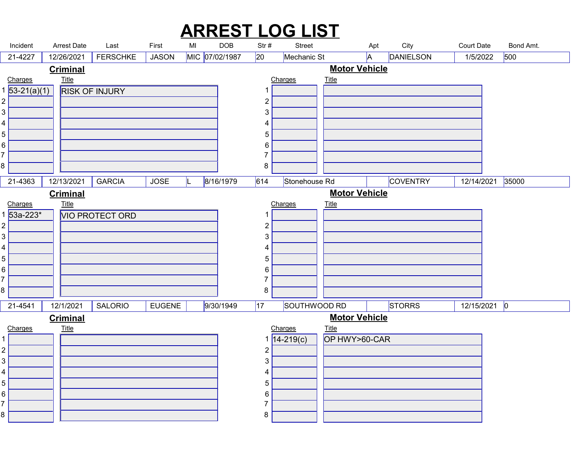#### $\begin{array}{lllllll} \text{Incident} & \text{Arrest Date} & \text{Last} & \text{First} & \text{MI} & \text{DOB} & \text{Str#} & \text{Stret} & \text{City} & \text{Court Date} & \text{Bond Amt.} \\ & & & & & \text{First} & \text{MI} & \text{DOB} & \text{Str#} & \text{Stret} & \text{City} & \text{Court Date} & \text{Bond Amt.} \\ & & & & & \text{I15/20221} & \text{FERSCHKE} & \text{JASON} & \text{IMIC} & \text{OT/02/1987} & \text{20} & \text{Mechanic St$ ARREST LOG LIST Arrest Date Last First MI 21-4227 | 12/26/2021 | FERSCHKE | JASON |MIC |07/02/1987 |20 |Mechanic St |A |DANIELSON | 1/5/2022 |500 | RISK OF INJURY 53-21(a)(1) Charges Title  $\begin{array}{ccc} 4 & 1 \\ 1 & 1 \end{array}$  **Title** that the contract of the contract of the contract of the contract of the contract of the contract of the contract of the contract of the contract of the contract of the contract of the contract of the contract of t 12/26/2021 | FERSCHKE | JASON | MIC 07/02/1987 Charges Title and  $1$  and  $1$  and  $1$  and  $1$  and  $1$  **Title The Community of the Community of the Community of the Community of the Community of the Community of the Community of the Community of the Community of the Community of the Community of the Community of the Commu Criminal** Motor Vehicle 21-4363 | 12/13/2021 | GARCIA | JOSE | L |8/16/1979 | 614 | Stonehouse Rd | | COVENTRY | 12/14/2021 |35000 | | VIO PROTECT ORD 53a-223\* Charges Title 8 a.C. (1985) and the set of the set of the set of the set of the set of the set of the set of the set of the<br>Set of the set of the set of the set of the set of the set of the set of the set of the set of the set of the **Title** that the contract of the contract of the contract of the contract of the contract of the contract of the contract of the contract of the contract of the contract of the contract of the contract of the contract of t 12/13/2021 GARCIA JOSE L 8/16/1979 Charges Title 8 | **1990 | 1990 | 1990 | 1990 | 1990 | 1990 | 1990 | 1990 | 1990 | 1990 | 1990 | 1990 | 1990 | 1990 Title The Community of the Community of the Community of the Community of the Community of the Community of the Community of the Community of the Community of the Community of the Community of the Community of the Commu Criminal** Motor Vehicle 21-4541 | 12/1/2021 | SALORIO | EUGENE | |9/30/1949 |17 |SOUTHWOOD RD | |STORRS | 12/15/2021 |0 | Charges Title **Title The Community of the Community of the Community of the Community of the Community of the Community of the Community of the Community of the Community of the Community of the Community of the Community of the Commu** 12/1/2021 OP HWY>60-CAR 14-219(c) Charges Title **Title The Community of the Community of the Community of the Community of the Community of the Community of the Community of the Community of the Community of the Community of the Community of the Community of the Commu Criminal** Motor Vehicle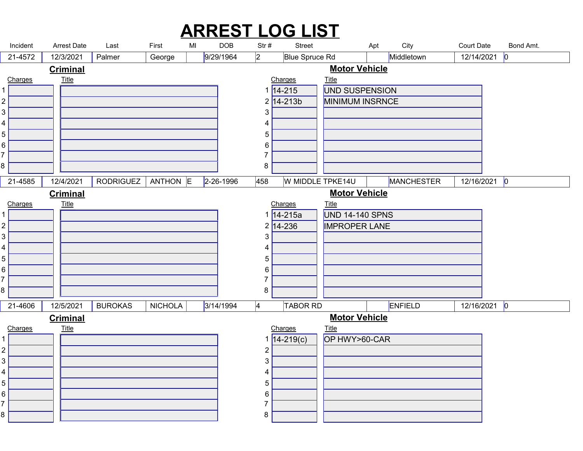|                     |                                 |                                                    |                 |    |                         |                      | <b>ARREST LOG LIST</b>          |                                      |     |                                              |                                   |           |  |
|---------------------|---------------------------------|----------------------------------------------------|-----------------|----|-------------------------|----------------------|---------------------------------|--------------------------------------|-----|----------------------------------------------|-----------------------------------|-----------|--|
| Incident<br>21-4572 | Arrest Date<br>12/3/2021        | Last<br>Palmer                                     | First<br>George | MI | <b>DOB</b><br>9/29/1964 | Str#<br>$ 2\rangle$  | <b>Street</b><br>Blue Spruce Rd |                                      | Apt | City<br>Middletown                           | <b>Court Date</b><br>12/14/2021 0 | Bond Amt. |  |
|                     | <b>Criminal</b>                 |                                                    |                 |    |                         |                      |                                 | <b>Motor Vehicle</b>                 |     |                                              |                                   |           |  |
| Charges             | <b>Title</b>                    |                                                    |                 |    |                         |                      | Charges<br>$1 14-215$           | <b>Title</b><br>UND SUSPENSION       |     |                                              |                                   |           |  |
| $\overline{c}$      |                                 |                                                    |                 |    |                         |                      | $2 14-213b $                    | MINIMUM INSRNCE                      |     |                                              |                                   |           |  |
| 3                   |                                 |                                                    |                 |    |                         | $\mathfrak{S}$       |                                 |                                      |     |                                              |                                   |           |  |
| 4<br>5              |                                 |                                                    |                 |    |                         | 4<br>$5\phantom{.0}$ |                                 |                                      |     |                                              |                                   |           |  |
| 6                   |                                 |                                                    |                 |    |                         | 6                    |                                 |                                      |     |                                              |                                   |           |  |
|                     |                                 |                                                    |                 |    |                         | 7                    |                                 |                                      |     |                                              |                                   |           |  |
| 8                   |                                 |                                                    |                 |    |                         | 8                    |                                 |                                      |     |                                              |                                   |           |  |
|                     |                                 | 21-4585 12/4/2021   RODRIGUEZ   ANTHON E 2-26-1996 |                 |    |                         |                      |                                 |                                      |     | 458 W MIDDLE TPKE14U MANCHESTER 12/16/2021 0 |                                   |           |  |
| Charges             | <b>Criminal</b><br><b>Title</b> |                                                    |                 |    |                         |                      | Charges                         | <b>Motor Vehicle</b><br><u>Title</u> |     |                                              |                                   |           |  |
|                     |                                 |                                                    |                 |    |                         |                      | 1 14-215a                       | <b>UND 14-140 SPNS</b>               |     |                                              |                                   |           |  |
| $\overline{c}$      |                                 |                                                    |                 |    |                         |                      | $2 14-236 $                     | <b>IMPROPER LANE</b>                 |     |                                              |                                   |           |  |
| $\mathfrak{B}$<br>4 |                                 |                                                    |                 |    |                         | 3<br>4               |                                 |                                      |     |                                              |                                   |           |  |
| 5                   |                                 |                                                    |                 |    |                         | 5                    |                                 |                                      |     |                                              |                                   |           |  |
| 6                   |                                 |                                                    |                 |    |                         | 6<br>7               |                                 |                                      |     |                                              |                                   |           |  |
| 8                   |                                 |                                                    |                 |    |                         | 8                    |                                 |                                      |     |                                              |                                   |           |  |
| 21-4606             | 12/5/2021                       | <b>BUROKAS</b>                                     | NICHOLA         |    | 3/14/1994               | $\vert 4 \vert$      | TABOR RD                        |                                      |     | ENFIELD                                      | $12/16/2021$ 0                    |           |  |
| Charges             | <b>Criminal</b><br><b>Title</b> |                                                    |                 |    |                         |                      | Charges                         | <b>Motor Vehicle</b><br><b>Title</b> |     |                                              |                                   |           |  |
|                     |                                 |                                                    |                 |    |                         |                      | $14 - 219(c)$                   | OP HWY>60-CAR                        |     |                                              |                                   |           |  |
| $\overline{c}$      |                                 |                                                    |                 |    |                         | $\overline{c}$       |                                 |                                      |     |                                              |                                   |           |  |
| $\mathfrak{S}$<br>4 |                                 |                                                    |                 |    |                         | $\mathfrak{S}$<br>4  |                                 |                                      |     |                                              |                                   |           |  |
| $\sqrt{5}$          |                                 |                                                    |                 |    |                         | 5                    |                                 |                                      |     |                                              |                                   |           |  |
| 6                   |                                 |                                                    |                 |    |                         | 6<br>7               |                                 |                                      |     |                                              |                                   |           |  |
|                     |                                 |                                                    |                 |    |                         | 8                    |                                 |                                      |     |                                              |                                   |           |  |
| 8                   |                                 |                                                    |                 |    |                         |                      |                                 |                                      |     |                                              |                                   |           |  |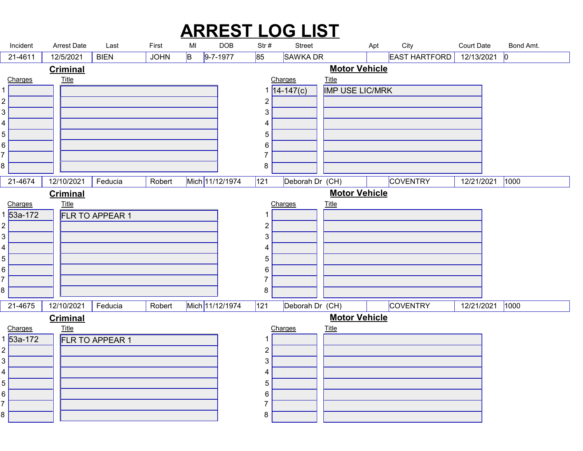|        |                           |                                 |                 |             |    |                 |                                | <b>ARREST LOG LIST</b>                                                |                                      |     |                      |                   |                 |  |
|--------|---------------------------|---------------------------------|-----------------|-------------|----|-----------------|--------------------------------|-----------------------------------------------------------------------|--------------------------------------|-----|----------------------|-------------------|-----------------|--|
|        | Incident                  | <b>Arrest Date</b>              | Last            | First       | MI | DOB             | Str#                           | Street                                                                |                                      | Apt | City                 | <b>Court Date</b> | Bond Amt.       |  |
|        | 21-4611                   | 12/5/2021                       | <b>BIEN</b>     | <b>JOHN</b> | B  | $9 - 7 - 1977$  | 85                             | SAWKA DR                                                              |                                      |     | <b>EAST HARTFORD</b> | 12/13/2021        | 0               |  |
|        | Charges                   | <b>Criminal</b><br><b>Title</b> |                 |             |    |                 |                                | Charges                                                               | <b>Motor Vehicle</b><br><b>Title</b> |     |                      |                   |                 |  |
|        |                           |                                 |                 |             |    |                 |                                | $14 - 147(c)$                                                         | <b>IMP USE LIC/MRK</b>               |     |                      |                   |                 |  |
| 2      |                           |                                 |                 |             |    |                 | $\overline{2}$                 |                                                                       |                                      |     |                      |                   |                 |  |
| 3      |                           |                                 |                 |             |    |                 | $\mathbf{3}$                   |                                                                       |                                      |     |                      |                   |                 |  |
| 5      |                           |                                 |                 |             |    |                 | 4<br>$\overline{5}$            |                                                                       |                                      |     |                      |                   |                 |  |
| 6      |                           |                                 |                 |             |    |                 | 6                              |                                                                       |                                      |     |                      |                   |                 |  |
| 8      |                           |                                 |                 |             |    |                 | $\overline{7}$                 |                                                                       |                                      |     |                      |                   |                 |  |
|        |                           |                                 |                 |             |    |                 | 8                              |                                                                       |                                      |     |                      |                   |                 |  |
|        |                           | <b>Criminal</b>                 |                 |             |    |                 |                                | 21-4674 12/10/2021 Feducia Robert Mich 11/12/1974 121 Deborah Dr (CH) | <b>Motor Vehicle</b>                 |     | COVENTRY             |                   | 12/21/2021 1000 |  |
|        | Charges                   | <b>Title</b>                    |                 |             |    |                 |                                | Charges                                                               | <b>Title</b>                         |     |                      |                   |                 |  |
|        | $53a-172$                 |                                 | FLR TO APPEAR 1 |             |    |                 |                                |                                                                       |                                      |     |                      |                   |                 |  |
| 2<br>3 |                           |                                 |                 |             |    |                 | $\overline{2}$<br>3            |                                                                       |                                      |     |                      |                   |                 |  |
|        |                           |                                 |                 |             |    |                 | 4                              |                                                                       |                                      |     |                      |                   |                 |  |
| 5      |                           |                                 |                 |             |    |                 | $5\phantom{.0}$                |                                                                       |                                      |     |                      |                   |                 |  |
| 6      |                           |                                 |                 |             |    |                 | 6<br>7                         |                                                                       |                                      |     |                      |                   |                 |  |
| 8      |                           |                                 |                 |             |    |                 | 8                              |                                                                       |                                      |     |                      |                   |                 |  |
|        | 21-4675                   | 12/10/2021                      | Feducia         | Robert      |    | Mich 11/12/1974 | 121                            | Deborah Dr (CH)                                                       |                                      |     | COVENTRY             |                   | 12/21/2021 1000 |  |
|        | <u>Charges</u><br>53a-172 | <b>Criminal</b><br>$Title$      |                 |             |    |                 |                                | Charges                                                               | <b>Motor Vehicle</b><br><u>Title</u> |     |                      |                   |                 |  |
|        |                           |                                 | FLR TO APPEAR 1 |             |    |                 |                                |                                                                       |                                      |     |                      |                   |                 |  |
| 2<br>3 |                           |                                 |                 |             |    |                 | $\overline{2}$<br>$\mathbf{3}$ |                                                                       |                                      |     |                      |                   |                 |  |
| 4      |                           |                                 |                 |             |    |                 | 4                              |                                                                       |                                      |     |                      |                   |                 |  |
| 5      |                           |                                 |                 |             |    |                 | $5\phantom{.0}$                |                                                                       |                                      |     |                      |                   |                 |  |
| 6      |                           |                                 |                 |             |    |                 | 6<br>7                         |                                                                       |                                      |     |                      |                   |                 |  |
|        |                           |                                 |                 |             |    |                 | 8                              |                                                                       |                                      |     |                      |                   |                 |  |
|        |                           |                                 |                 |             |    |                 |                                |                                                                       |                                      |     |                      |                   |                 |  |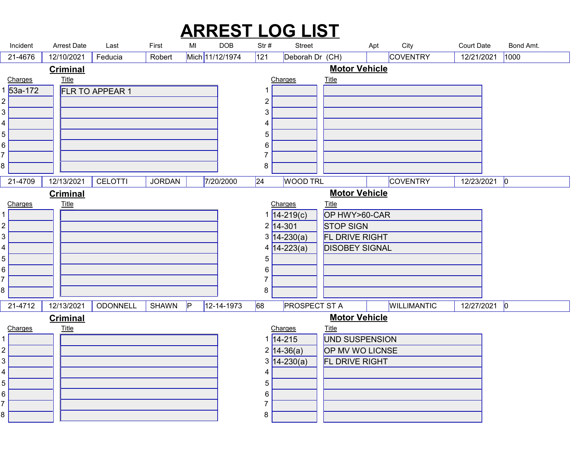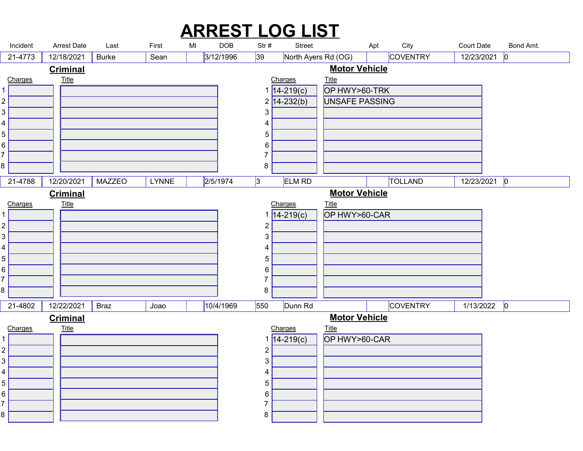